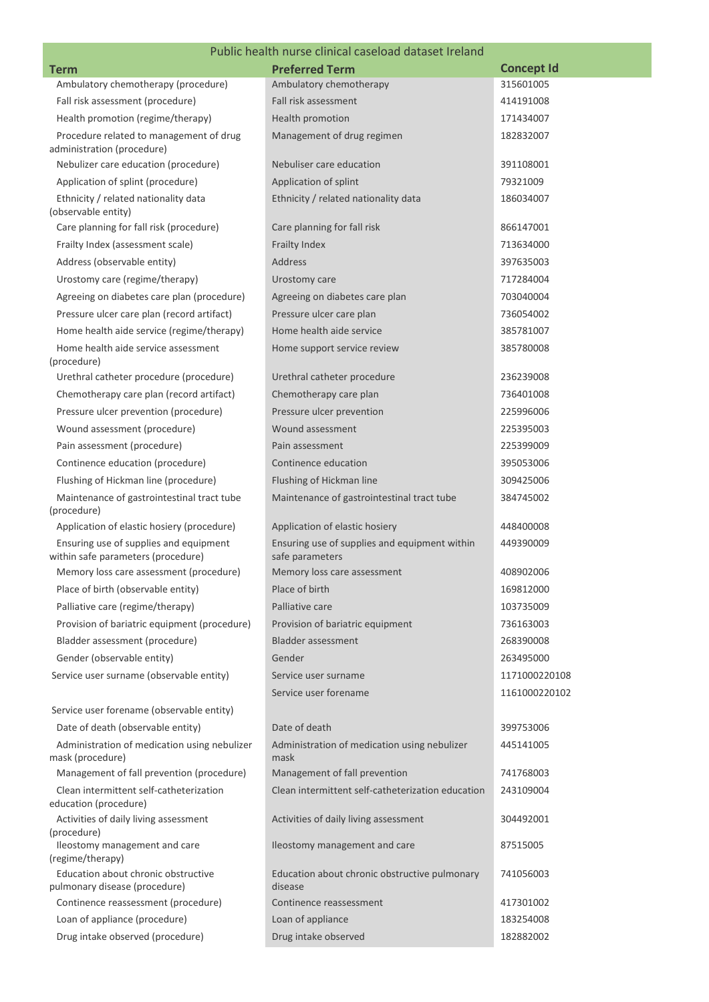## Public health nurse clinical caseload dataset Ireland

|                                                                              | Public Health Hurse Chritical Caseload dataset Il eland          |                   |
|------------------------------------------------------------------------------|------------------------------------------------------------------|-------------------|
| <b>Term</b>                                                                  | <b>Preferred Term</b>                                            | <b>Concept Id</b> |
| Ambulatory chemotherapy (procedure)                                          | Ambulatory chemotherapy                                          | 315601005         |
| Fall risk assessment (procedure)                                             | Fall risk assessment                                             | 414191008         |
| Health promotion (regime/therapy)                                            | Health promotion                                                 | 171434007         |
| Procedure related to management of drug<br>administration (procedure)        | Management of drug regimen                                       | 182832007         |
| Nebulizer care education (procedure)                                         | Nebuliser care education                                         | 391108001         |
| Application of splint (procedure)                                            | Application of splint                                            | 79321009          |
| Ethnicity / related nationality data<br>(observable entity)                  | Ethnicity / related nationality data                             | 186034007         |
| Care planning for fall risk (procedure)                                      | Care planning for fall risk                                      | 866147001         |
| Frailty Index (assessment scale)                                             | Frailty Index                                                    | 713634000         |
| Address (observable entity)                                                  | Address                                                          | 397635003         |
| Urostomy care (regime/therapy)                                               | Urostomy care                                                    | 717284004         |
| Agreeing on diabetes care plan (procedure)                                   | Agreeing on diabetes care plan                                   | 703040004         |
| Pressure ulcer care plan (record artifact)                                   | Pressure ulcer care plan                                         | 736054002         |
| Home health aide service (regime/therapy)                                    | Home health aide service                                         | 385781007         |
| Home health aide service assessment<br>(procedure)                           | Home support service review                                      | 385780008         |
| Urethral catheter procedure (procedure)                                      | Urethral catheter procedure                                      | 236239008         |
| Chemotherapy care plan (record artifact)                                     | Chemotherapy care plan                                           | 736401008         |
| Pressure ulcer prevention (procedure)                                        | Pressure ulcer prevention                                        | 225996006         |
| Wound assessment (procedure)                                                 | Wound assessment                                                 | 225395003         |
| Pain assessment (procedure)                                                  | Pain assessment                                                  | 225399009         |
| Continence education (procedure)                                             | Continence education                                             | 395053006         |
| Flushing of Hickman line (procedure)                                         | Flushing of Hickman line                                         | 309425006         |
| Maintenance of gastrointestinal tract tube<br>(procedure)                    | Maintenance of gastrointestinal tract tube                       | 384745002         |
| Application of elastic hosiery (procedure)                                   | Application of elastic hosiery                                   | 448400008         |
| Ensuring use of supplies and equipment<br>within safe parameters (procedure) | Ensuring use of supplies and equipment within<br>safe parameters | 449390009         |
| Memory loss care assessment (procedure)                                      | Memory loss care assessment                                      | 408902006         |
| Place of birth (observable entity)                                           | Place of birth                                                   | 169812000         |
| Palliative care (regime/therapy)                                             | Palliative care                                                  | 103735009         |
| Provision of bariatric equipment (procedure)                                 | Provision of bariatric equipment                                 | 736163003         |
| Bladder assessment (procedure)                                               | <b>Bladder assessment</b>                                        | 268390008         |
| Gender (observable entity)                                                   | Gender                                                           | 263495000         |
| Service user surname (observable entity)                                     | Service user surname                                             | 1171000220108     |
|                                                                              | Service user forename                                            | 1161000220102     |
| Service user forename (observable entity)                                    |                                                                  |                   |
| Date of death (observable entity)                                            | Date of death                                                    | 399753006         |
| Administration of medication using nebulizer<br>mask (procedure)             | Administration of medication using nebulizer<br>mask             | 445141005         |
| Management of fall prevention (procedure)                                    | Management of fall prevention                                    | 741768003         |
| Clean intermittent self-catheterization<br>education (procedure)             | Clean intermittent self-catheterization education                | 243109004         |
| Activities of daily living assessment<br>(procedure)                         | Activities of daily living assessment                            | 304492001         |
| Ileostomy management and care<br>(regime/therapy)                            | Ileostomy management and care                                    | 87515005          |
| Education about chronic obstructive<br>pulmonary disease (procedure)         | Education about chronic obstructive pulmonary<br>disease         | 741056003         |
| Continence reassessment (procedure)                                          | Continence reassessment                                          | 417301002         |
| Loan of appliance (procedure)                                                | Loan of appliance                                                | 183254008         |
| Drug intake observed (procedure)                                             | Drug intake observed                                             | 182882002         |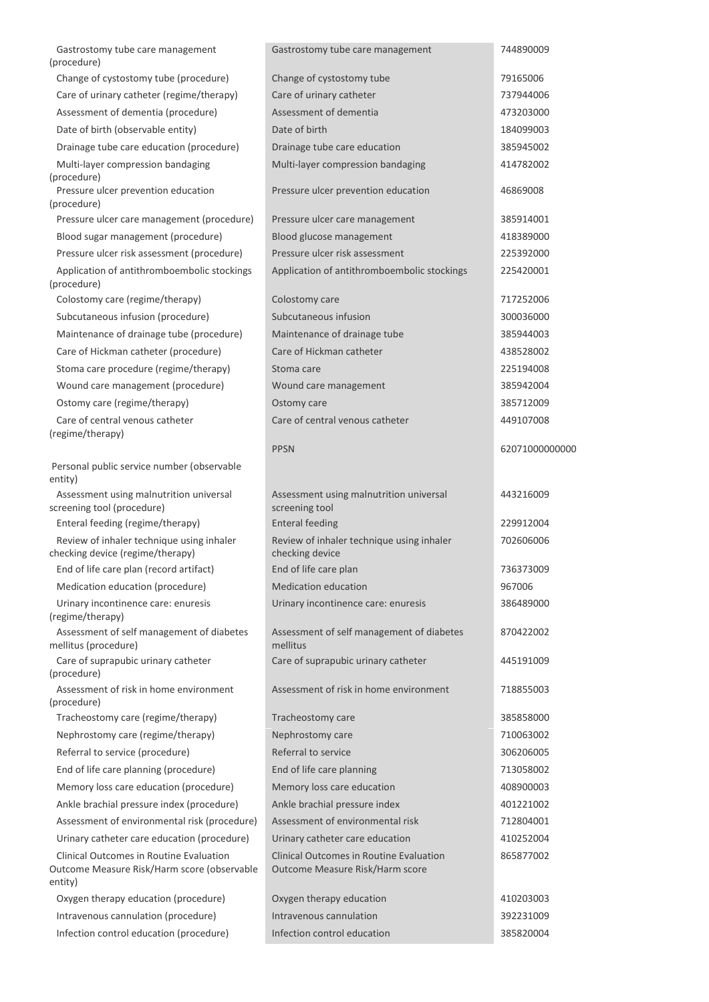| Gastrostomy tube care management<br>(procedure)                                                   | Gastrostomy tube care management                                                  | 744890009              |
|---------------------------------------------------------------------------------------------------|-----------------------------------------------------------------------------------|------------------------|
| Change of cystostomy tube (procedure)                                                             | Change of cystostomy tube                                                         | 79165006               |
| Care of urinary catheter (regime/therapy)                                                         | Care of urinary catheter                                                          | 737944006              |
| Assessment of dementia (procedure)                                                                | Assessment of dementia                                                            | 473203000              |
| Date of birth (observable entity)                                                                 | Date of birth                                                                     | 184099003              |
| Drainage tube care education (procedure)                                                          | Drainage tube care education                                                      | 385945002              |
| Multi-layer compression bandaging                                                                 | Multi-layer compression bandaging                                                 | 414782002              |
| (procedure)<br>Pressure ulcer prevention education                                                | Pressure ulcer prevention education                                               | 46869008               |
| (procedure)                                                                                       |                                                                                   |                        |
| Pressure ulcer care management (procedure)                                                        | Pressure ulcer care management                                                    | 385914001              |
| Blood sugar management (procedure)<br>Pressure ulcer risk assessment (procedure)                  | Blood glucose management<br>Pressure ulcer risk assessment                        | 418389000<br>225392000 |
| Application of antithromboembolic stockings<br>(procedure)                                        | Application of antithromboembolic stockings                                       | 225420001              |
| Colostomy care (regime/therapy)                                                                   | Colostomy care                                                                    | 717252006              |
| Subcutaneous infusion (procedure)                                                                 | Subcutaneous infusion                                                             | 300036000              |
| Maintenance of drainage tube (procedure)                                                          | Maintenance of drainage tube                                                      | 385944003              |
| Care of Hickman catheter (procedure)                                                              | Care of Hickman catheter                                                          | 438528002              |
| Stoma care procedure (regime/therapy)                                                             | Stoma care                                                                        | 225194008              |
| Wound care management (procedure)                                                                 | Wound care management                                                             | 385942004              |
| Ostomy care (regime/therapy)                                                                      | Ostomy care                                                                       | 385712009              |
| Care of central venous catheter<br>(regime/therapy)                                               | Care of central venous catheter                                                   | 449107008              |
|                                                                                                   | <b>PPSN</b>                                                                       | 62071000000000         |
| Personal public service number (observable<br>entity)                                             |                                                                                   |                        |
| Assessment using malnutrition universal<br>screening tool (procedure)                             | Assessment using malnutrition universal<br>screening tool                         | 443216009              |
| Enteral feeding (regime/therapy)                                                                  | <b>Enteral feeding</b>                                                            | 229912004              |
| Review of inhaler technique using inhaler<br>checking device (regime/therapy)                     | Review of inhaler technique using inhaler<br>checking device                      | 702606006              |
| End of life care plan (record artifact)                                                           | End of life care plan                                                             | 736373009              |
| Medication education (procedure)                                                                  | <b>Medication education</b>                                                       | 967006                 |
| Urinary incontinence care: enuresis<br>(regime/therapy)                                           | Urinary incontinence care: enuresis                                               | 386489000              |
| Assessment of self management of diabetes<br>mellitus (procedure)                                 | Assessment of self management of diabetes<br>mellitus                             | 870422002              |
| Care of suprapubic urinary catheter<br>(procedure)                                                | Care of suprapubic urinary catheter                                               | 445191009              |
| Assessment of risk in home environment<br>(procedure)                                             | Assessment of risk in home environment                                            | 718855003              |
| Tracheostomy care (regime/therapy)                                                                | Tracheostomy care                                                                 | 385858000              |
| Nephrostomy care (regime/therapy)                                                                 | Nephrostomy care                                                                  | 710063002              |
| Referral to service (procedure)                                                                   | Referral to service                                                               | 306206005              |
| End of life care planning (procedure)                                                             | End of life care planning                                                         | 713058002              |
| Memory loss care education (procedure)                                                            | Memory loss care education                                                        | 408900003              |
| Ankle brachial pressure index (procedure)                                                         | Ankle brachial pressure index                                                     | 401221002              |
| Assessment of environmental risk (procedure)                                                      | Assessment of environmental risk                                                  | 712804001              |
| Urinary catheter care education (procedure)                                                       | Urinary catheter care education                                                   | 410252004              |
| Clinical Outcomes in Routine Evaluation<br>Outcome Measure Risk/Harm score (observable<br>entity) | <b>Clinical Outcomes in Routine Evaluation</b><br>Outcome Measure Risk/Harm score | 865877002              |
| Oxygen therapy education (procedure)                                                              | Oxygen therapy education                                                          | 410203003              |
| Intravenous cannulation (procedure)                                                               | Intravenous cannulation                                                           | 392231009              |
| Infection control education (procedure)                                                           | Infection control education                                                       | 385820004              |